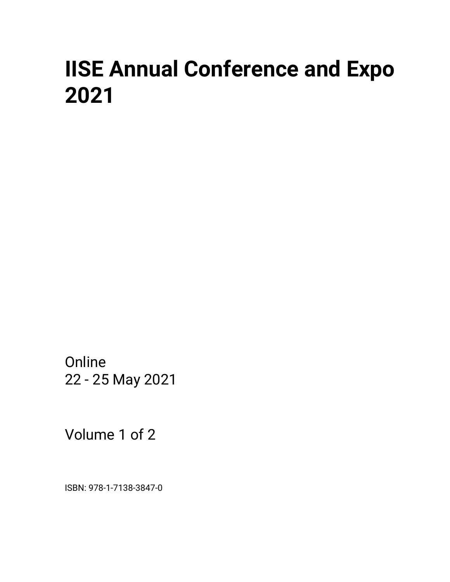# **IISE Annual Conference and Expo 2021**

Online 22 - 25 May 2021

Volume 1 of 2

ISBN: 978-1-7138-3847-0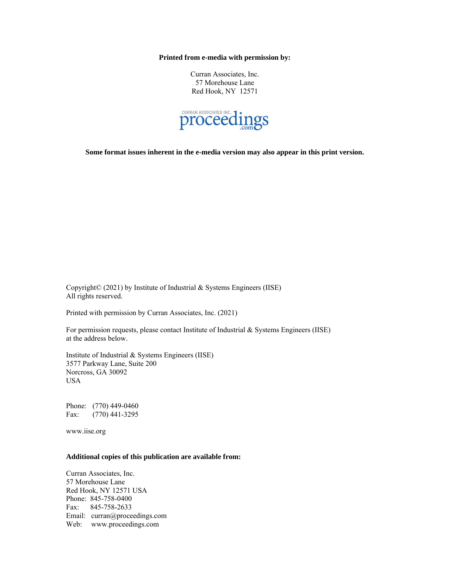**Printed from e-media with permission by:**

Curran Associates, Inc. 57 Morehouse Lane Red Hook, NY 12571



**Some format issues inherent in the e-media version may also appear in this print version.**

Copyright© (2021) by Institute of Industrial & Systems Engineers (IISE) All rights reserved.

Printed with permission by Curran Associates, Inc. (2021)

For permission requests, please contact Institute of Industrial & Systems Engineers (IISE) at the address below.

Institute of Industrial & Systems Engineers (IISE) 3577 Parkway Lane, Suite 200 Norcross, GA 30092 USA

Phone: (770) 449-0460 Fax: (770) 441-3295

www.iise.org

#### **Additional copies of this publication are available from:**

Curran Associates, Inc. 57 Morehouse Lane Red Hook, NY 12571 USA Phone: 845-758-0400 Fax: 845-758-2633 Email: curran@proceedings.com Web: www.proceedings.com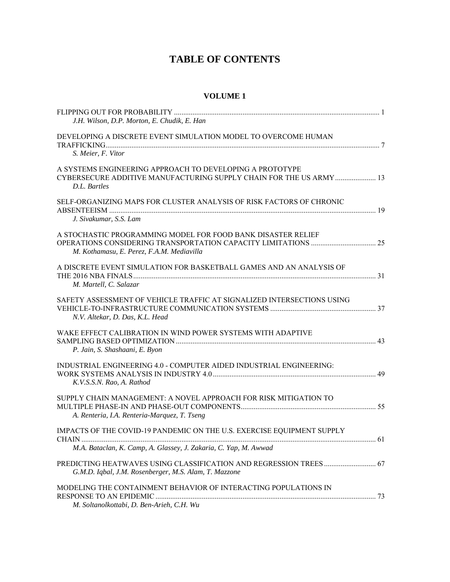## **TABLE OF CONTENTS**

### **VOLUME 1**

| J.H. Wilson, D.P. Morton, E. Chudik, E. Han                                                                                                     |  |
|-------------------------------------------------------------------------------------------------------------------------------------------------|--|
| DEVELOPING A DISCRETE EVENT SIMULATION MODEL TO OVERCOME HUMAN<br>S. Meier, F. Vitor                                                            |  |
| A SYSTEMS ENGINEERING APPROACH TO DEVELOPING A PROTOTYPE<br>CYBERSECURE ADDITIVE MANUFACTURING SUPPLY CHAIN FOR THE US ARMY  13<br>D.L. Bartles |  |
| SELF-ORGANIZING MAPS FOR CLUSTER ANALYSIS OF RISK FACTORS OF CHRONIC<br>J. Sivakumar, S.S. Lam                                                  |  |
| A STOCHASTIC PROGRAMMING MODEL FOR FOOD BANK DISASTER RELIEF<br>M. Kothamasu, E. Perez, F.A.M. Mediavilla                                       |  |
| A DISCRETE EVENT SIMULATION FOR BASKETBALL GAMES AND AN ANALYSIS OF<br>M. Martell, C. Salazar                                                   |  |
| SAFETY ASSESSMENT OF VEHICLE TRAFFIC AT SIGNALIZED INTERSECTIONS USING<br>N.V. Altekar, D. Das, K.L. Head                                       |  |
| WAKE EFFECT CALIBRATION IN WIND POWER SYSTEMS WITH ADAPTIVE<br>P. Jain, S. Shashaani, E. Byon                                                   |  |
| INDUSTRIAL ENGINEERING 4.0 - COMPUTER AIDED INDUSTRIAL ENGINEERING:<br>K.V.S.S.N. Rao, A. Rathod                                                |  |
| SUPPLY CHAIN MANAGEMENT: A NOVEL APPROACH FOR RISK MITIGATION TO<br>A. Renteria, I.A. Renteria-Marquez, T. Tseng                                |  |
| IMPACTS OF THE COVID-19 PANDEMIC ON THE U.S. EXERCISE EQUIPMENT SUPPLY<br>M.A. Bataclan, K. Camp, A. Glassey, J. Zakaria, C. Yap, M. Awwad      |  |
| G.M.D. Iqbal, J.M. Rosenberger, M.S. Alam, T. Mazzone                                                                                           |  |
| MODELING THE CONTAINMENT BEHAVIOR OF INTERACTING POPULATIONS IN<br>M. Soltanolkottabi, D. Ben-Arieh, C.H. Wu                                    |  |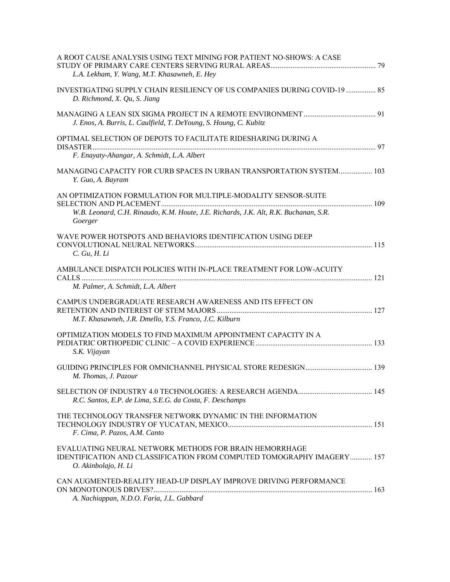| A ROOT CAUSE ANALYSIS USING TEXT MINING FOR PATIENT NO-SHOWS: A CASE<br>L.A. Lekham, Y. Wang, M.T. Khasawneh, E. Hey                                     |  |
|----------------------------------------------------------------------------------------------------------------------------------------------------------|--|
| INVESTIGATING SUPPLY CHAIN RESILIENCY OF US COMPANIES DURING COVID-19  85<br>D. Richmond, X. Qu, S. Jiang                                                |  |
| J. Enos, A. Burris, L. Caulfield, T. DeYoung, S. Houng, C. Kubitz                                                                                        |  |
| OPTIMAL SELECTION OF DEPOTS TO FACILITATE RIDESHARING DURING A                                                                                           |  |
| F. Enayaty-Ahangar, A. Schmidt, L.A. Albert                                                                                                              |  |
| MANAGING CAPACITY FOR CURB SPACES IN URBAN TRANSPORTATION SYSTEM 103<br>Y. Guo, A. Bayram                                                                |  |
| AN OPTIMIZATION FORMULATION FOR MULTIPLE-MODALITY SENSOR-SUITE                                                                                           |  |
| W.B. Leonard, C.H. Rinaudo, K.M. Houte, J.E. Richards, J.K. Alt, R.K. Buchanan, S.R.<br>Goerger                                                          |  |
| WAVE POWER HOTSPOTS AND BEHAVIORS IDENTIFICATION USING DEEP<br>C. Gu, H. Li                                                                              |  |
| AMBULANCE DISPATCH POLICIES WITH IN-PLACE TREATMENT FOR LOW-ACUITY<br>M. Palmer, A. Schmidt, L.A. Albert                                                 |  |
| CAMPUS UNDERGRADUATE RESEARCH AWARENESS AND ITS EFFECT ON<br>M.T. Khasawneh, J.R. Dmello, Y.S. Franco, J.C. Kilburn                                      |  |
| OPTIMIZATION MODELS TO FIND MAXIMUM APPOINTMENT CAPACITY IN A<br>S.K. Vijayan                                                                            |  |
| M. Thomas, J. Pazour                                                                                                                                     |  |
| R.C. Santos, E.P. de Lima, S.E.G. da Costa, F. Deschamps                                                                                                 |  |
| THE TECHNOLOGY TRANSFER NETWORK DYNAMIC IN THE INFORMATION<br>F. Cima, P. Pazos, A.M. Canto                                                              |  |
| EVALUATING NEURAL NETWORK METHODS FOR BRAIN HEMORRHAGE<br>IDENTIFICATION AND CLASSIFICATION FROM COMPUTED TOMOGRAPHY IMAGERY 157<br>O. Akinbolajo, H. Li |  |
| CAN AUGMENTED-REALITY HEAD-UP DISPLAY IMPROVE DRIVING PERFORMANCE<br>A. Nachiappan, N.D.O. Faria, J.L. Gabbard                                           |  |
|                                                                                                                                                          |  |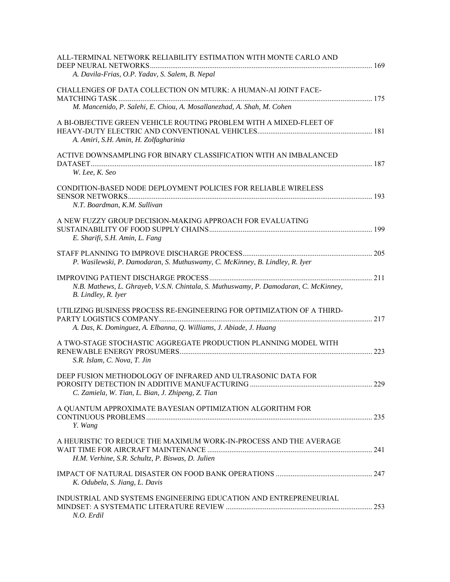| ALL-TERMINAL NETWORK RELIABILITY ESTIMATION WITH MONTE CARLO AND                                                                             |  |
|----------------------------------------------------------------------------------------------------------------------------------------------|--|
| A. Davila-Frias, O.P. Yadav, S. Salem, B. Nepal                                                                                              |  |
| CHALLENGES OF DATA COLLECTION ON MTURK: A HUMAN-AI JOINT FACE-                                                                               |  |
| M. Mancenido, P. Salehi, E. Chiou, A. Mosallanezhad, A. Shah, M. Cohen                                                                       |  |
| A BI-OBJECTIVE GREEN VEHICLE ROUTING PROBLEM WITH A MIXED-FLEET OF<br>A. Amiri, S.H. Amin, H. Zolfagharinia                                  |  |
| ACTIVE DOWNSAMPLING FOR BINARY CLASSIFICATION WITH AN IMBALANCED                                                                             |  |
| W. Lee, K. Seo                                                                                                                               |  |
| CONDITION-BASED NODE DEPLOYMENT POLICIES FOR RELIABLE WIRELESS<br>N.T. Boardman, K.M. Sullivan                                               |  |
| A NEW FUZZY GROUP DECISION-MAKING APPROACH FOR EVALUATING                                                                                    |  |
| E. Sharifi, S.H. Amin, L. Fang                                                                                                               |  |
| P. Wasilewski, P. Damodaran, S. Muthuswamy, C. McKinney, B. Lindley, R. Iyer                                                                 |  |
| N.B. Mathews, L. Ghrayeb, V.S.N. Chintala, S. Muthuswamy, P. Damodaran, C. McKinney,<br>B. Lindley, R. Iyer                                  |  |
| UTILIZING BUSINESS PROCESS RE-ENGINEERING FOR OPTIMIZATION OF A THIRD-<br>A. Das, K. Dominguez, A. Elbanna, Q. Williams, J. Abiade, J. Huang |  |
| A TWO-STAGE STOCHASTIC AGGREGATE PRODUCTION PLANNING MODEL WITH<br>S.R. Islam, C. Nova, T. Jin                                               |  |
| DEEP FUSION METHODOLOGY OF INFRARED AND ULTRASONIC DATA FOR<br>C. Zamiela, W. Tian, L. Bian, J. Zhipeng, Z. Tian                             |  |
| A QUANTUM APPROXIMATE BAYESIAN OPTIMIZATION ALGORITHM FOR<br>Y. Wang                                                                         |  |
| A HEURISTIC TO REDUCE THE MAXIMUM WORK-IN-PROCESS AND THE AVERAGE<br>H.M. Verhine, S.R. Schultz, P. Biswas, D. Julien                        |  |
| K. Odubela, S. Jiang, L. Davis                                                                                                               |  |
| INDUSTRIAL AND SYSTEMS ENGINEERING EDUCATION AND ENTREPRENEURIAL<br>N.O. Erdil                                                               |  |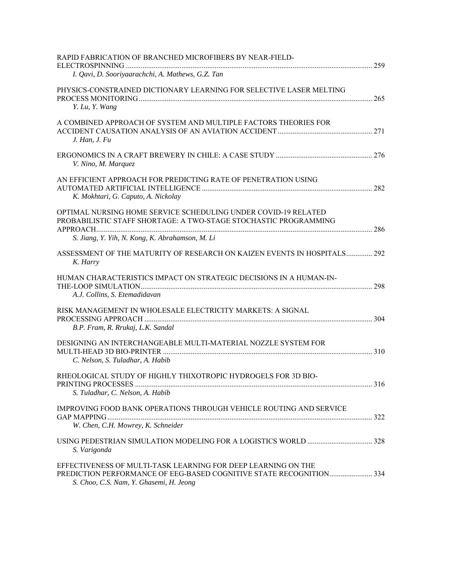| RAPID FABRICATION OF BRANCHED MICROFIBERS BY NEAR-FIELD-                                                                                                                              |  |
|---------------------------------------------------------------------------------------------------------------------------------------------------------------------------------------|--|
| I. Qavi, D. Sooriyaarachchi, A. Mathews, G.Z. Tan                                                                                                                                     |  |
| PHYSICS-CONSTRAINED DICTIONARY LEARNING FOR SELECTIVE LASER MELTING<br>Y. Lu, Y. Wang                                                                                                 |  |
| A COMBINED APPROACH OF SYSTEM AND MULTIPLE FACTORS THEORIES FOR<br>$J.$ Han, $J.$ Fu                                                                                                  |  |
| V. Nino, M. Marquez                                                                                                                                                                   |  |
| AN EFFICIENT APPROACH FOR PREDICTING RATE OF PENETRATION USING<br>K. Mokhtari, G. Caputo, A. Nickolay                                                                                 |  |
| OPTIMAL NURSING HOME SERVICE SCHEDULING UNDER COVID-19 RELATED<br>PROBABILISTIC STAFF SHORTAGE: A TWO-STAGE STOCHASTIC PROGRAMMING<br>S. Jiang, Y. Yih, N. Kong, K. Abrahamson, M. Li |  |
| ASSESSMENT OF THE MATURITY OF RESEARCH ON KAIZEN EVENTS IN HOSPITALS 292<br>K. Harry                                                                                                  |  |
| HUMAN CHARACTERISTICS IMPACT ON STRATEGIC DECISIONS IN A HUMAN-IN-<br>A.J. Collins, S. Etemadidavan                                                                                   |  |
| RISK MANAGEMENT IN WHOLESALE ELECTRICITY MARKETS: A SIGNAL<br>B.P. Fram, R. Rrukaj, L.K. Sandal                                                                                       |  |
| DESIGNING AN INTERCHANGEABLE MULTI-MATERIAL NOZZLE SYSTEM FOR<br>C. Nelson, S. Tuladhar, A. Habib                                                                                     |  |
| RHEOLOGICAL STUDY OF HIGHLY THIXOTROPIC HYDROGELS FOR 3D BIO-<br>S. Tuladhar, C. Nelson, A. Habib                                                                                     |  |
| IMPROVING FOOD BANK OPERATIONS THROUGH VEHICLE ROUTING AND SERVICE<br>W. Chen, C.H. Mowrey, K. Schneider                                                                              |  |
| S. Varigonda                                                                                                                                                                          |  |
| EFFECTIVENESS OF MULTI-TASK LEARNING FOR DEEP LEARNING ON THE<br>S. Choo, C.S. Nam, Y. Ghasemi, H. Jeong                                                                              |  |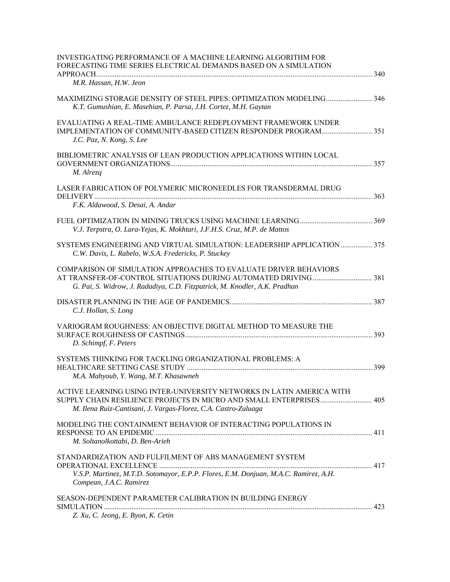| INVESTIGATING PERFORMANCE OF A MACHINE LEARNING ALGORITHM FOR<br>FORECASTING TIME SERIES ELECTRICAL DEMANDS BASED ON A SIMULATION                                                                              |     |
|----------------------------------------------------------------------------------------------------------------------------------------------------------------------------------------------------------------|-----|
| M.R. Hassan, H.W. Jeon                                                                                                                                                                                         |     |
| K.T. Gumushian, E. Masehian, P. Parsa, J.H. Cortez, M.H. Gaytan                                                                                                                                                |     |
| EVALUATING A REAL-TIME AMBULANCE REDEPLOYMENT FRAMEWORK UNDER<br>J.C. Paz, N. Kong, S. Lee                                                                                                                     |     |
| BIBLIOMETRIC ANALYSIS OF LEAN PRODUCTION APPLICATIONS WITHIN LOCAL<br>M. Alrezq                                                                                                                                |     |
| LASER FABRICATION OF POLYMERIC MICRONEEDLES FOR TRANSDERMAL DRUG                                                                                                                                               |     |
| F.K. Aldawood, S. Desai, A. Andar                                                                                                                                                                              |     |
| V.J. Terpstra, O. Lara-Yejas, K. Mokhtari, J.F.H.S. Cruz, M.P. de Mattos                                                                                                                                       |     |
| SYSTEMS ENGINEERING AND VIRTUAL SIMULATION: LEADERSHIP APPLICATION 375<br>C.W. Davis, L. Rabelo, W.S.A. Fredericks, P. Stuckey                                                                                 |     |
| COMPARISON OF SIMULATION APPROACHES TO EVALUATE DRIVER BEHAVIORS<br>G. Pai, S. Widrow, J. Radadiya, C.D. Fitzpatrick, M. Knodler, A.K. Pradhan                                                                 |     |
| C.J. Hollan, S. Long                                                                                                                                                                                           |     |
| VARIOGRAM ROUGHNESS: AN OBJECTIVE DIGITAL METHOD TO MEASURE THE<br>D. Schimpf, F. Peters                                                                                                                       |     |
| SYSTEMS THINKING FOR TACKLING ORGANIZATIONAL PROBLEMS: A<br>M.A. Mahyoub, Y. Wang, M.T. Khasawneh                                                                                                              | 399 |
| ACTIVE LEARNING USING INTER-UNIVERSITY NETWORKS IN LATIN AMERICA WITH<br>SUPPLY CHAIN RESILIENCE PROJECTS IN MICRO AND SMALL ENTERPRISES 405<br>M. Ilena Ruiz-Cantisani, J. Vargas-Florez, C.A. Castro-Zuluaga |     |
| MODELING THE CONTAINMENT BEHAVIOR OF INTERACTING POPULATIONS IN<br>M. Soltanolkottabi, D. Ben-Arieh                                                                                                            |     |
| STANDARDIZATION AND FULFILMENT OF ABS MANAGEMENT SYSTEM<br>V.S.P. Martinez, M.T.D. Sotomayor, E.P.P. Flores, E.M. Donjuan, M.A.C. Ramirez, A.H.<br>Compean, J.A.C. Ramirez                                     |     |
| SEASON-DEPENDENT PARAMETER CALIBRATION IN BUILDING ENERGY<br>Z. Xu, C. Jeong, E. Byon, K. Cetin                                                                                                                |     |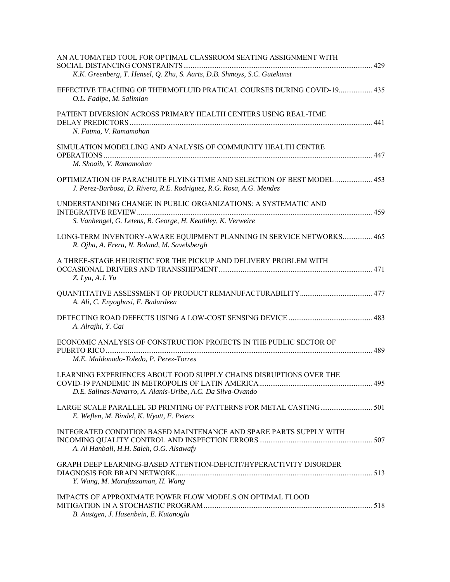| AN AUTOMATED TOOL FOR OPTIMAL CLASSROOM SEATING ASSIGNMENT WITH<br>K.K. Greenberg, T. Hensel, Q. Zhu, S. Aarts, D.B. Shmoys, S.C. Gutekunst   |  |
|-----------------------------------------------------------------------------------------------------------------------------------------------|--|
| EFFECTIVE TEACHING OF THERMOFLUID PRATICAL COURSES DURING COVID-19 435<br>O.L. Fadipe, M. Salimian                                            |  |
| PATIENT DIVERSION ACROSS PRIMARY HEALTH CENTERS USING REAL-TIME<br>N. Fatma, V. Ramamohan                                                     |  |
| SIMULATION MODELLING AND ANALYSIS OF COMMUNITY HEALTH CENTRE<br>M. Shoaib, V. Ramamohan                                                       |  |
| OPTIMIZATION OF PARACHUTE FLYING TIME AND SELECTION OF BEST MODEL  453<br>J. Perez-Barbosa, D. Rivera, R.E. Rodriguez, R.G. Rosa, A.G. Mendez |  |
| UNDERSTANDING CHANGE IN PUBLIC ORGANIZATIONS: A SYSTEMATIC AND<br>S. Vanhengel, G. Letens, B. George, H. Keathley, K. Verweire                |  |
| LONG-TERM INVENTORY-AWARE EQUIPMENT PLANNING IN SERVICE NETWORKS 465<br>R. Ojha, A. Erera, N. Boland, M. Savelsbergh                          |  |
| A THREE-STAGE HEURISTIC FOR THE PICKUP AND DELIVERY PROBLEM WITH<br>Z. Lyu, A.J. Yu                                                           |  |
| A. Ali, C. Enyoghasi, F. Badurdeen                                                                                                            |  |
| A. Alrajhi, Y. Cai                                                                                                                            |  |
| ECONOMIC ANALYSIS OF CONSTRUCTION PROJECTS IN THE PUBLIC SECTOR OF<br>M.E. Maldonado-Toledo, P. Perez-Torres                                  |  |
| LEARNING EXPERIENCES ABOUT FOOD SUPPLY CHAINS DISRUPTIONS OVER THE<br>D.E. Salinas-Navarro, A. Alanis-Uribe, A.C. Da Silva-Ovando             |  |
| E. Weflen, M. Bindel, K. Wyatt, F. Peters                                                                                                     |  |
| INTEGRATED CONDITION BASED MAINTENANCE AND SPARE PARTS SUPPLY WITH<br>A. Al Hanbali, H.H. Saleh, O.G. Alsawafy                                |  |
| GRAPH DEEP LEARNING-BASED ATTENTION-DEFICIT/HYPERACTIVITY DISORDER<br>Y. Wang, M. Marufuzzaman, H. Wang                                       |  |
| IMPACTS OF APPROXIMATE POWER FLOW MODELS ON OPTIMAL FLOOD<br>B. Austgen, J. Hasenbein, E. Kutanoglu                                           |  |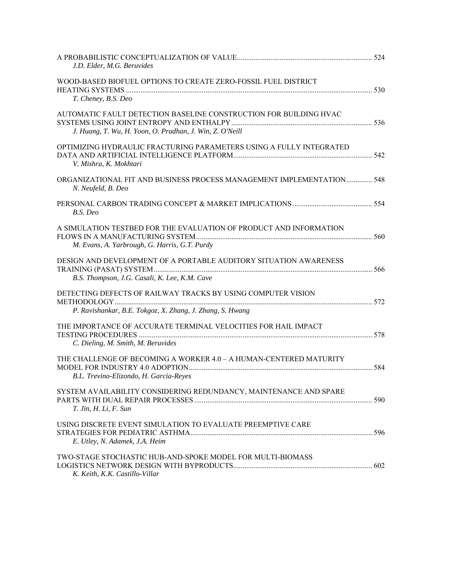| J.D. Elder, M.G. Beruvides                                                                                                    |  |
|-------------------------------------------------------------------------------------------------------------------------------|--|
| WOOD-BASED BIOFUEL OPTIONS TO CREATE ZERO-FOSSIL FUEL DISTRICT<br>T. Cheney, B.S. Deo                                         |  |
| AUTOMATIC FAULT DETECTION BASELINE CONSTRUCTION FOR BUILDING HVAC<br>J. Huang, T. Wu, H. Yoon, O. Pradhan, J. Win, Z. O'Neill |  |
| OPTIMIZING HYDRAULIC FRACTURING PARAMETERS USING A FULLY INTEGRATED<br>V. Mishra, K. Mokhtari                                 |  |
| ORGANIZATIONAL FIT AND BUSINESS PROCESS MANAGEMENT IMPLEMENTATION 548<br>N. Neufeld, B. Deo                                   |  |
| B.S. Deo                                                                                                                      |  |
| A SIMULATION TESTBED FOR THE EVALUATION OF PRODUCT AND INFORMATION<br>M. Evans, A. Yarbrough, G. Harris, G.T. Purdy           |  |
| DESIGN AND DEVELOPMENT OF A PORTABLE AUDITORY SITUATION AWARENESS<br>B.S. Thompson, J.G. Casali, K. Lee, K.M. Cave            |  |
| DETECTING DEFECTS OF RAILWAY TRACKS BY USING COMPUTER VISION<br>P. Ravishankar, B.E. Tokgoz, X. Zhang, J. Zhang, S. Hwang     |  |
| THE IMPORTANCE OF ACCURATE TERMINAL VELOCITIES FOR HAIL IMPACT<br>C. Dieling, M. Smith, M. Beruvides                          |  |
| THE CHALLENGE OF BECOMING A WORKER 4.0 - A HUMAN-CENTERED MATURITY<br>B.L. Trevino-Elizondo, H. Garcia-Reyes                  |  |
| SYSTEM AVAILABILITY CONSIDERING REDUNDANCY, MAINTENANCE AND SPARE<br>T. Jin, H. Li, F. Sun                                    |  |
| USING DISCRETE EVENT SIMULATION TO EVALUATE PREEMPTIVE CARE<br>E. Utley, N. Adamek, J.A. Heim                                 |  |
| TWO-STAGE STOCHASTIC HUB-AND-SPOKE MODEL FOR MULTI-BIOMASS<br>K. Keith, K.K. Castillo-Villar                                  |  |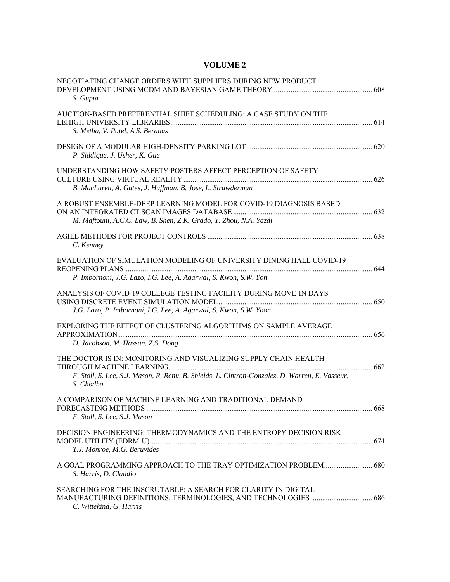## **VOLUME 2**

| NEGOTIATING CHANGE ORDERS WITH SUPPLIERS DURING NEW PRODUCT<br>S. Gupta                                                                                                         |  |
|---------------------------------------------------------------------------------------------------------------------------------------------------------------------------------|--|
| AUCTION-BASED PREFERENTIAL SHIFT SCHEDULING: A CASE STUDY ON THE<br>S. Metha, V. Patel, A.S. Berahas                                                                            |  |
| P. Siddique, J. Usher, K. Gue                                                                                                                                                   |  |
| UNDERSTANDING HOW SAFETY POSTERS AFFECT PERCEPTION OF SAFETY<br>B. MacLaren, A. Gates, J. Huffman, B. Jose, L. Strawderman                                                      |  |
| A ROBUST ENSEMBLE-DEEP LEARNING MODEL FOR COVID-19 DIAGNOSIS BASED<br>M. Maftouni, A.C.C. Law, B. Shen, Z.K. Grado, Y. Zhou, N.A. Yazdi                                         |  |
| C. Kenney                                                                                                                                                                       |  |
| EVALUATION OF SIMULATION MODELING OF UNIVERSITY DINING HALL COVID-19<br>P. Imbornoni, J.G. Lazo, I.G. Lee, A. Agarwal, S. Kwon, S.W. Yon                                        |  |
| ANALYSIS OF COVID-19 COLLEGE TESTING FACILITY DURING MOVE-IN DAYS<br>J.G. Lazo, P. Imbornoni, I.G. Lee, A. Agarwal, S. Kwon, S.W. Yoon                                          |  |
| EXPLORING THE EFFECT OF CLUSTERING ALGORITHMS ON SAMPLE AVERAGE<br>D. Jacobson, M. Hassan, Z.S. Dong                                                                            |  |
| THE DOCTOR IS IN: MONITORING AND VISUALIZING SUPPLY CHAIN HEALTH<br>F. Stoll, S. Lee, S.J. Mason, R. Renu, B. Shields, L. Cintron-Gonzalez, D. Warren, E. Vasseur,<br>S. Chodha |  |
| A COMPARISON OF MACHINE LEARNING AND TRADITIONAL DEMAND<br>F. Stoll, S. Lee, S.J. Mason                                                                                         |  |
| DECISION ENGINEERING: THERMODYNAMICS AND THE ENTROPY DECISION RISK<br>T.J. Monroe, M.G. Beruvides                                                                               |  |
| A GOAL PROGRAMMING APPROACH TO THE TRAY OPTIMIZATION PROBLEM 680<br>S. Harris, D. Claudio                                                                                       |  |
| SEARCHING FOR THE INSCRUTABLE: A SEARCH FOR CLARITY IN DIGITAL<br>C. Wittekind, G. Harris                                                                                       |  |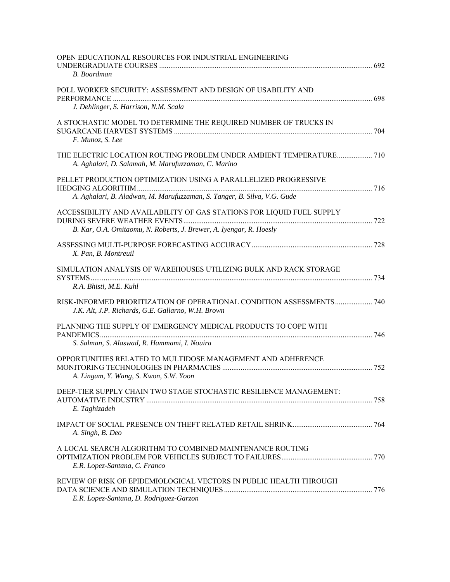| OPEN EDUCATIONAL RESOURCES FOR INDUSTRIAL ENGINEERING<br>B. Boardman                                                                         |  |
|----------------------------------------------------------------------------------------------------------------------------------------------|--|
| POLL WORKER SECURITY: ASSESSMENT AND DESIGN OF USABILITY AND<br>J. Dehlinger, S. Harrison, N.M. Scala                                        |  |
| A STOCHASTIC MODEL TO DETERMINE THE REQUIRED NUMBER OF TRUCKS IN<br>F. Munoz, S. Lee                                                         |  |
| THE ELECTRIC LOCATION ROUTING PROBLEM UNDER AMBIENT TEMPERATURE 710<br>A. Aghalari, D. Salamah, M. Marufuzzaman, C. Marino                   |  |
| PELLET PRODUCTION OPTIMIZATION USING A PARALLELIZED PROGRESSIVE<br>A. Aghalari, B. Aladwan, M. Marufuzzaman, S. Tanger, B. Silva, V.G. Gude  |  |
| ACCESSIBILITY AND AVAILABILITY OF GAS STATIONS FOR LIQUID FUEL SUPPLY<br>B. Kar, O.A. Omitaomu, N. Roberts, J. Brewer, A. Iyengar, R. Hoesly |  |
| X. Pan, B. Montreuil                                                                                                                         |  |
| SIMULATION ANALYSIS OF WAREHOUSES UTILIZING BULK AND RACK STORAGE<br>R.A. Bhisti, M.E. Kuhl                                                  |  |
| RISK-INFORMED PRIORITIZATION OF OPERATIONAL CONDITION ASSESSMENTS 740<br>J.K. Alt, J.P. Richards, G.E. Gallarno, W.H. Brown                  |  |
| PLANNING THE SUPPLY OF EMERGENCY MEDICAL PRODUCTS TO COPE WITH<br>S. Salman, S. Alaswad, R. Hammami, I. Nouira                               |  |
| OPPORTUNITIES RELATED TO MULTIDOSE MANAGEMENT AND ADHERENCE<br>A. Lingam, Y. Wang, S. Kwon, S.W. Yoon                                        |  |
| DEEP-TIER SUPPLY CHAIN TWO STAGE STOCHASTIC RESILIENCE MANAGEMENT:<br>E. Taghizadeh                                                          |  |
| A. Singh, B. Deo                                                                                                                             |  |
| A LOCAL SEARCH ALGORITHM TO COMBINED MAINTENANCE ROUTING<br>E.R. Lopez-Santana, C. Franco                                                    |  |
| REVIEW OF RISK OF EPIDEMIOLOGICAL VECTORS IN PUBLIC HEALTH THROUGH<br>E.R. Lopez-Santana, D. Rodriguez-Garzon                                |  |
|                                                                                                                                              |  |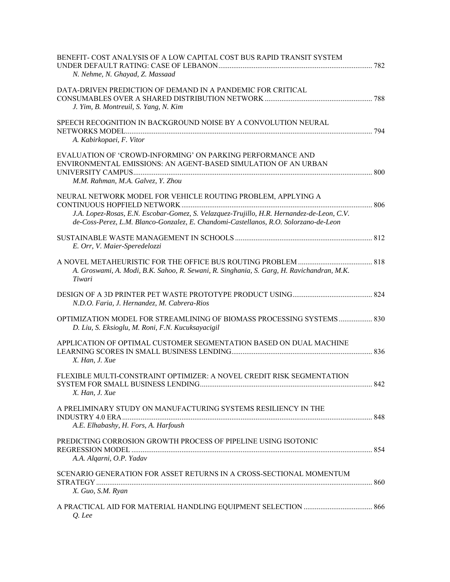| BENEFIT-COST ANALYSIS OF A LOW CAPITAL COST BUS RAPID TRANSIT SYSTEM<br>N. Nehme, N. Ghayad, Z. Massaad                                                                                                                                           |  |
|---------------------------------------------------------------------------------------------------------------------------------------------------------------------------------------------------------------------------------------------------|--|
| DATA-DRIVEN PREDICTION OF DEMAND IN A PANDEMIC FOR CRITICAL<br>J. Yim, B. Montreuil, S. Yang, N. Kim                                                                                                                                              |  |
| SPEECH RECOGNITION IN BACKGROUND NOISE BY A CONVOLUTION NEURAL<br>A. Kabirkopaei, F. Vitor                                                                                                                                                        |  |
| EVALUATION OF 'CROWD-INFORMING' ON PARKING PERFORMANCE AND<br>ENVIRONMENTAL EMISSIONS: AN AGENT-BASED SIMULATION OF AN URBAN<br>M.M. Rahman, M.A. Galvez, Y. Zhou                                                                                 |  |
| NEURAL NETWORK MODEL FOR VEHICLE ROUTING PROBLEM, APPLYING A<br>J.A. Lopez-Rosas, E.N. Escobar-Gomez, S. Velazquez-Trujillo, H.R. Hernandez-de-Leon, C.V.<br>de-Coss-Perez, L.M. Blanco-Gonzalez, E. Chandomi-Castellanos, R.O. Solorzano-de-Leon |  |
| E. Orr, V. Maier-Speredelozzi                                                                                                                                                                                                                     |  |
| A. Groswami, A. Modi, B.K. Sahoo, R. Sewani, R. Singhania, S. Garg, H. Ravichandran, M.K.<br>Tiwari                                                                                                                                               |  |
| N.D.O. Faria, J. Hernandez, M. Cabrera-Rios                                                                                                                                                                                                       |  |
| OPTIMIZATION MODEL FOR STREAMLINING OF BIOMASS PROCESSING SYSTEMS 830<br>D. Liu, S. Eksioglu, M. Roni, F.N. Kucuksayacigil                                                                                                                        |  |
| APPLICATION OF OPTIMAL CUSTOMER SEGMENTATION BASED ON DUAL MACHINE<br>X. Han, J. Xue                                                                                                                                                              |  |
| FLEXIBLE MULTI-CONSTRAINT OPTIMIZER: A NOVEL CREDIT RISK SEGMENTATION<br>X. Han, J. Xue                                                                                                                                                           |  |
| A PRELIMINARY STUDY ON MANUFACTURING SYSTEMS RESILIENCY IN THE<br>A.E. Elhabashy, H. Fors, A. Harfoush                                                                                                                                            |  |
| PREDICTING CORROSION GROWTH PROCESS OF PIPELINE USING ISOTONIC<br>A.A. Algarni, O.P. Yadav                                                                                                                                                        |  |
| SCENARIO GENERATION FOR ASSET RETURNS IN A CROSS-SECTIONAL MOMENTUM                                                                                                                                                                               |  |
| X. Guo, S.M. Ryan                                                                                                                                                                                                                                 |  |
| Q. Lee                                                                                                                                                                                                                                            |  |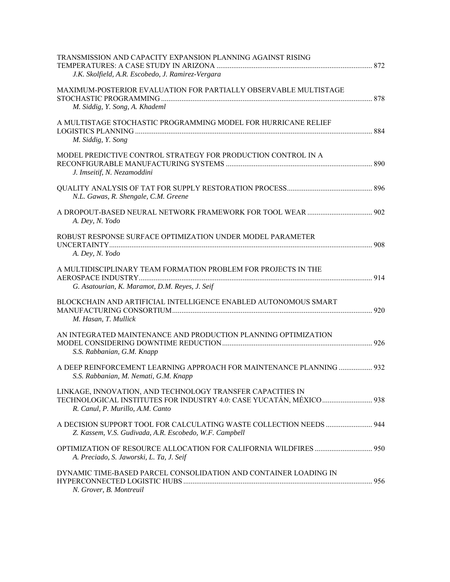| TRANSMISSION AND CAPACITY EXPANSION PLANNING AGAINST RISING<br>J.K. Skolfield, A.R. Escobedo, J. Ramirez-Vergara              |  |
|-------------------------------------------------------------------------------------------------------------------------------|--|
| MAXIMUM-POSTERIOR EVALUATION FOR PARTIALLY OBSERVABLE MULTISTAGE<br>M. Siddig, Y. Song, A. Khademl                            |  |
| A MULTISTAGE STOCHASTIC PROGRAMMING MODEL FOR HURRICANE RELIEF<br>M. Siddig, Y. Song                                          |  |
| MODEL PREDICTIVE CONTROL STRATEGY FOR PRODUCTION CONTROL IN A<br>J. Imseitif, N. Nezamoddini                                  |  |
| N.L. Gawas, R. Shengale, C.M. Greene                                                                                          |  |
| A. Dey, N. Yodo                                                                                                               |  |
| ROBUST RESPONSE SURFACE OPTIMIZATION UNDER MODEL PARAMETER<br>A. Dey, N. Yodo                                                 |  |
| A MULTIDISCIPLINARY TEAM FORMATION PROBLEM FOR PROJECTS IN THE<br>G. Asatourian, K. Maramot, D.M. Reyes, J. Seif              |  |
| BLOCKCHAIN AND ARTIFICIAL INTELLIGENCE ENABLED AUTONOMOUS SMART<br>M. Hasan, T. Mullick                                       |  |
| AN INTEGRATED MAINTENANCE AND PRODUCTION PLANNING OPTIMIZATION<br>S.S. Rabbanian, G.M. Knapp                                  |  |
| A DEEP REINFORCEMENT LEARNING APPROACH FOR MAINTENANCE PLANNING  932<br>S.S. Rabbanian, M. Nemati, G.M. Knapp                 |  |
| LINKAGE, INNOVATION, AND TECHNOLOGY TRANSFER CAPACITIES IN<br>R. Canul, P. Murillo, A.M. Canto                                |  |
| A DECISION SUPPORT TOOL FOR CALCULATING WASTE COLLECTION NEEDS  944<br>Z. Kassem, V.S. Gudivada, A.R. Escobedo, W.F. Campbell |  |
| A. Preciado, S. Jaworski, L. Ta, J. Seif                                                                                      |  |
| DYNAMIC TIME-BASED PARCEL CONSOLIDATION AND CONTAINER LOADING IN<br>N. Grover, B. Montreuil                                   |  |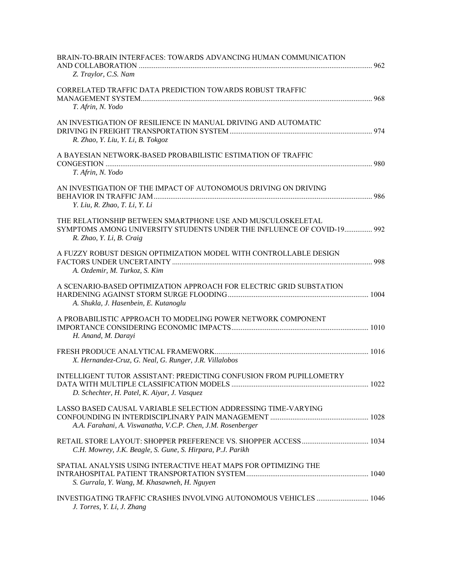| BRAIN-TO-BRAIN INTERFACES: TOWARDS ADVANCING HUMAN COMMUNICATION<br>Z. Traylor, C.S. Nam                                                                          |  |
|-------------------------------------------------------------------------------------------------------------------------------------------------------------------|--|
| CORRELATED TRAFFIC DATA PREDICTION TOWARDS ROBUST TRAFFIC<br>T. Afrin, N. Yodo                                                                                    |  |
| AN INVESTIGATION OF RESILIENCE IN MANUAL DRIVING AND AUTOMATIC<br>R. Zhao, Y. Liu, Y. Li, B. Tokgoz                                                               |  |
| A BAYESIAN NETWORK-BASED PROBABILISTIC ESTIMATION OF TRAFFIC<br>T. Afrin, N. Yodo                                                                                 |  |
| AN INVESTIGATION OF THE IMPACT OF AUTONOMOUS DRIVING ON DRIVING<br>Y. Liu, R. Zhao, T. Li, Y. Li                                                                  |  |
| THE RELATIONSHIP BETWEEN SMARTPHONE USE AND MUSCULOSKELETAL<br>SYMPTOMS AMONG UNIVERSITY STUDENTS UNDER THE INFLUENCE OF COVID-19 992<br>R. Zhao, Y. Li, B. Craig |  |
| A FUZZY ROBUST DESIGN OPTIMIZATION MODEL WITH CONTROLLABLE DESIGN<br>A. Ozdemir, M. Turkoz, S. Kim                                                                |  |
| A SCENARIO-BASED OPTIMIZATION APPROACH FOR ELECTRIC GRID SUBSTATION<br>A. Shukla, J. Hasenbein, E. Kutanoglu                                                      |  |
| A PROBABILISTIC APPROACH TO MODELING POWER NETWORK COMPONENT<br>H. Anand, M. Darayi                                                                               |  |
| X. Hernandez-Cruz, G. Neal, G. Runger, J.R. Villalobos                                                                                                            |  |
| INTELLIGENT TUTOR ASSISTANT: PREDICTING CONFUSION FROM PUPILLOMETRY<br>D. Schechter, H. Patel, K. Aiyar, J. Vasquez                                               |  |
| LASSO BASED CAUSAL VARIABLE SELECTION ADDRESSING TIME-VARYING<br>A.A. Farahani, A. Viswanatha, V.C.P. Chen, J.M. Rosenberger                                      |  |
| C.H. Mowrey, J.K. Beagle, S. Gune, S. Hirpara, P.J. Parikh                                                                                                        |  |
| SPATIAL ANALYSIS USING INTERACTIVE HEAT MAPS FOR OPTIMIZING THE<br>S. Gurrala, Y. Wang, M. Khasawneh, H. Nguyen                                                   |  |
| INVESTIGATING TRAFFIC CRASHES INVOLVING AUTONOMOUS VEHICLES  1046<br>J. Torres, Y. Li, J. Zhang                                                                   |  |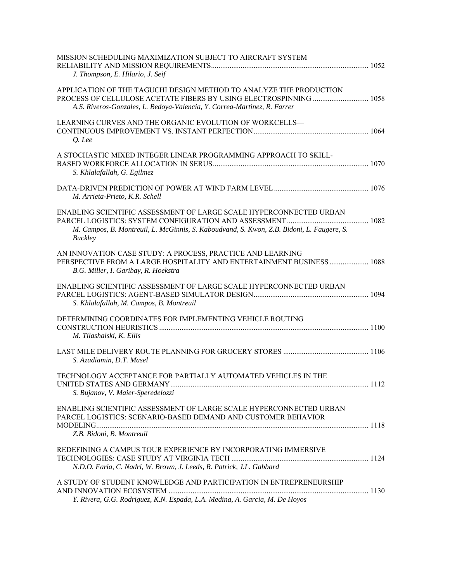| MISSION SCHEDULING MAXIMIZATION SUBJECT TO AIRCRAFT SYSTEM<br>J. Thompson, E. Hilario, J. Seif                                                                                    |  |
|-----------------------------------------------------------------------------------------------------------------------------------------------------------------------------------|--|
| APPLICATION OF THE TAGUCHI DESIGN METHOD TO ANALYZE THE PRODUCTION<br>A.S. Riveros-Gonzales, L. Bedoya-Valencia, Y. Correa-Martinez, R. Farrer                                    |  |
| LEARNING CURVES AND THE ORGANIC EVOLUTION OF WORKCELLS-<br>Q. Lee                                                                                                                 |  |
| A STOCHASTIC MIXED INTEGER LINEAR PROGRAMMING APPROACH TO SKILL-<br>S. Khlalafallah, G. Egilmez                                                                                   |  |
| M. Arrieta-Prieto, K.R. Schell                                                                                                                                                    |  |
| ENABLING SCIENTIFIC ASSESSMENT OF LARGE SCALE HYPERCONNECTED URBAN<br>M. Campos, B. Montreuil, L. McGinnis, S. Kaboudvand, S. Kwon, Z.B. Bidoni, L. Faugere, S.<br><b>Buckley</b> |  |
| AN INNOVATION CASE STUDY: A PROCESS, PRACTICE AND LEARNING<br>PERSPECTIVE FROM A LARGE HOSPITALITY AND ENTERTAINMENT BUSINESS  1088<br>B.G. Miller, I. Garibay, R. Hoekstra       |  |
| ENABLING SCIENTIFIC ASSESSMENT OF LARGE SCALE HYPERCONNECTED URBAN<br>S. Khlalafallah, M. Campos, B. Montreuil                                                                    |  |
| DETERMINING COORDINATES FOR IMPLEMENTING VEHICLE ROUTING<br>M. Tilashalski, K. Ellis                                                                                              |  |
| S. Azadiamin, D.T. Masel                                                                                                                                                          |  |
| TECHNOLOGY ACCEPTANCE FOR PARTIALLY AUTOMATED VEHICLES IN THE<br>S. Bujanov, V. Maier-Speredelozzi                                                                                |  |
| ENABLING SCIENTIFIC ASSESSMENT OF LARGE SCALE HYPERCONNECTED URBAN<br>PARCEL LOGISTICS: SCENARIO-BASED DEMAND AND CUSTOMER BEHAVIOR<br>Z.B. Bidoni, B. Montreuil                  |  |
| REDEFINING A CAMPUS TOUR EXPERIENCE BY INCORPORATING IMMERSIVE<br>N.D.O. Faria, C. Nadri, W. Brown, J. Leeds, R. Patrick, J.L. Gabbard                                            |  |
| A STUDY OF STUDENT KNOWLEDGE AND PARTICIPATION IN ENTREPRENEURSHIP<br>Y. Rivera, G.G. Rodriguez, K.N. Espada, L.A. Medina, A. Garcia, M. De Hoyos                                 |  |